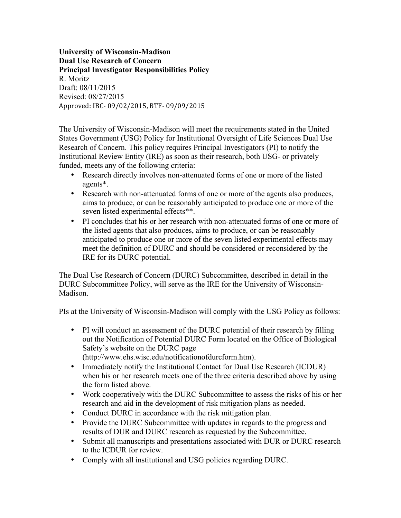**University of Wisconsin-Madison Dual Use Research of Concern Principal Investigator Responsibilities Policy** R. Moritz Draft: 08/11/2015 Revised: 08/27/2015 Approved: IBC- 09/02/2015, BTF- 09/09/2015

The University of Wisconsin-Madison will meet the requirements stated in the United States Government (USG) Policy for Institutional Oversight of Life Sciences Dual Use Research of Concern. This policy requires Principal Investigators (PI) to notify the Institutional Review Entity (IRE) as soon as their research, both USG- or privately funded, meets any of the following criteria:

- Research directly involves non-attenuated forms of one or more of the listed agents\*.
- Research with non-attenuated forms of one or more of the agents also produces, aims to produce, or can be reasonably anticipated to produce one or more of the seven listed experimental effects\*\*.
- PI concludes that his or her research with non-attenuated forms of one or more of the listed agents that also produces, aims to produce, or can be reasonably anticipated to produce one or more of the seven listed experimental effects may meet the definition of DURC and should be considered or reconsidered by the IRE for its DURC potential.

The Dual Use Research of Concern (DURC) Subcommittee, described in detail in the DURC Subcommittee Policy, will serve as the IRE for the University of Wisconsin-Madison.

PIs at the University of Wisconsin-Madison will comply with the USG Policy as follows:

- PI will conduct an assessment of the DURC potential of their research by filling out the Notification of Potential DURC Form located on the Office of Biological Safety's website on the DURC page (http://www.ehs.wisc.edu/notificationofdurcform.htm).
- Immediately notify the Institutional Contact for Dual Use Research (ICDUR) when his or her research meets one of the three criteria described above by using the form listed above.
- Work cooperatively with the DURC Subcommittee to assess the risks of his or her research and aid in the development of risk mitigation plans as needed.
- Conduct DURC in accordance with the risk mitigation plan.
- Provide the DURC Subcommittee with updates in regards to the progress and results of DUR and DURC research as requested by the Subcommittee.
- Submit all manuscripts and presentations associated with DUR or DURC research to the ICDUR for review.
- Comply with all institutional and USG policies regarding DURC.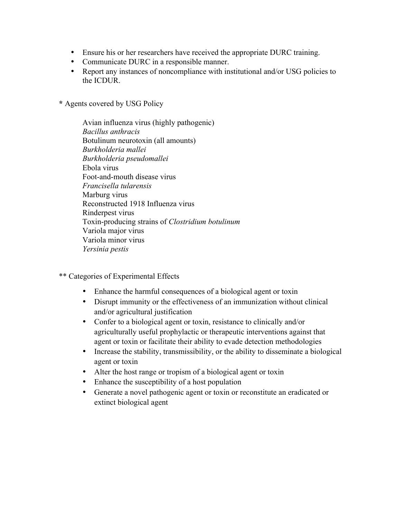- Ensure his or her researchers have received the appropriate DURC training.
- Communicate DURC in a responsible manner.
- Report any instances of noncompliance with institutional and/or USG policies to the ICDUR.

**\*** Agents covered by USG Policy

Avian influenza virus (highly pathogenic) *Bacillus anthracis* Botulinum neurotoxin (all amounts) *Burkholderia mallei Burkholderia pseudomallei*  Ebola virus Foot-and-mouth disease virus *Francisella tularensis* Marburg virus Reconstructed 1918 Influenza virus Rinderpest virus Toxin-producing strains of *Clostridium botulinum*  Variola major virus Variola minor virus *Yersinia pestis* 

- \*\* Categories of Experimental Effects
	- Enhance the harmful consequences of a biological agent or toxin
	- Disrupt immunity or the effectiveness of an immunization without clinical and/or agricultural justification
	- Confer to a biological agent or toxin, resistance to clinically and/or agriculturally useful prophylactic or therapeutic interventions against that agent or toxin or facilitate their ability to evade detection methodologies
	- Increase the stability, transmissibility, or the ability to disseminate a biological agent or toxin
	- Alter the host range or tropism of a biological agent or toxin
	- Enhance the susceptibility of a host population
	- Generate a novel pathogenic agent or toxin or reconstitute an eradicated or extinct biological agent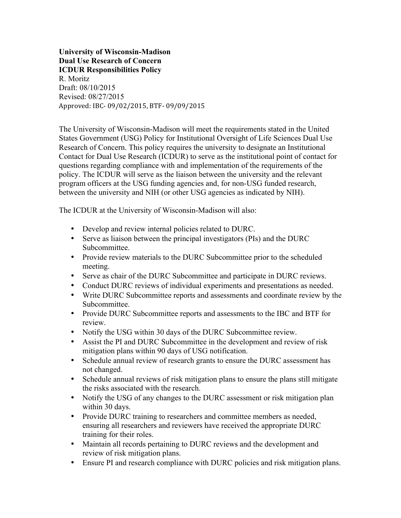**University of Wisconsin-Madison Dual Use Research of Concern ICDUR Responsibilities Policy** R. Moritz Draft: 08/10/2015 Revised: 08/27/2015 Approved: IBC- 09/02/2015, BTF- 09/09/2015

The University of Wisconsin-Madison will meet the requirements stated in the United States Government (USG) Policy for Institutional Oversight of Life Sciences Dual Use Research of Concern. This policy requires the university to designate an Institutional Contact for Dual Use Research (ICDUR) to serve as the institutional point of contact for questions regarding compliance with and implementation of the requirements of the policy. The ICDUR will serve as the liaison between the university and the relevant program officers at the USG funding agencies and, for non-USG funded research, between the university and NIH (or other USG agencies as indicated by NIH).

The ICDUR at the University of Wisconsin-Madison will also:

- Develop and review internal policies related to DURC.
- Serve as liaison between the principal investigators (PIs) and the DURC Subcommittee.
- Provide review materials to the DURC Subcommittee prior to the scheduled meeting.
- Serve as chair of the DURC Subcommittee and participate in DURC reviews.
- Conduct DURC reviews of individual experiments and presentations as needed.
- Write DURC Subcommittee reports and assessments and coordinate review by the Subcommittee.
- Provide DURC Subcommittee reports and assessments to the IBC and BTF for review.
- Notify the USG within 30 days of the DURC Subcommittee review.
- Assist the PI and DURC Subcommittee in the development and review of risk mitigation plans within 90 days of USG notification.
- Schedule annual review of research grants to ensure the DURC assessment has not changed.
- Schedule annual reviews of risk mitigation plans to ensure the plans still mitigate the risks associated with the research.
- Notify the USG of any changes to the DURC assessment or risk mitigation plan within 30 days.
- Provide DURC training to researchers and committee members as needed, ensuring all researchers and reviewers have received the appropriate DURC training for their roles.
- Maintain all records pertaining to DURC reviews and the development and review of risk mitigation plans.
- Ensure PI and research compliance with DURC policies and risk mitigation plans.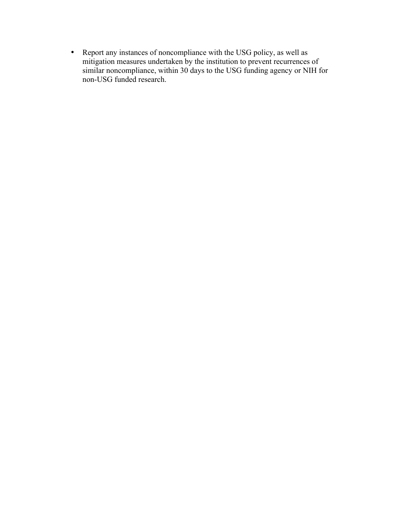• Report any instances of noncompliance with the USG policy, as well as mitigation measures undertaken by the institution to prevent recurrences of similar noncompliance, within 30 days to the USG funding agency or NIH for non-USG funded research.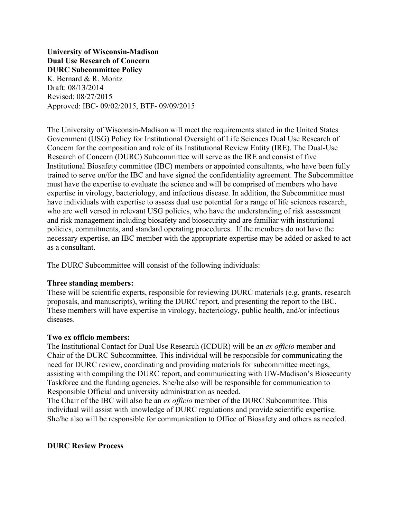**University of Wisconsin-Madison Dual Use Research of Concern DURC Subcommittee Policy** K. Bernard & R. Moritz Draft: 08/13/2014 Revised: 08/27/2015 Approved: IBC- 09/02/2015, BTF- 09/09/2015

The University of Wisconsin-Madison will meet the requirements stated in the United States Government (USG) Policy for Institutional Oversight of Life Sciences Dual Use Research of Concern for the composition and role of its Institutional Review Entity (IRE). The Dual-Use Research of Concern (DURC) Subcommittee will serve as the IRE and consist of five Institutional Biosafety committee (IBC) members or appointed consultants, who have been fully trained to serve on/for the IBC and have signed the confidentiality agreement. The Subcommittee must have the expertise to evaluate the science and will be comprised of members who have expertise in virology, bacteriology, and infectious disease. In addition, the Subcommittee must have individuals with expertise to assess dual use potential for a range of life sciences research, who are well versed in relevant USG policies, who have the understanding of risk assessment and risk management including biosafety and biosecurity and are familiar with institutional policies, commitments, and standard operating procedures. If the members do not have the necessary expertise, an IBC member with the appropriate expertise may be added or asked to act as a consultant.

The DURC Subcommittee will consist of the following individuals:

### **Three standing members:**

These will be scientific experts, responsible for reviewing DURC materials (e.g. grants, research proposals, and manuscripts), writing the DURC report, and presenting the report to the IBC. These members will have expertise in virology, bacteriology, public health, and/or infectious diseases.

### **Two ex officio members:**

The Institutional Contact for Dual Use Research (ICDUR) will be an *ex officio* member and Chair of the DURC Subcommittee. This individual will be responsible for communicating the need for DURC review, coordinating and providing materials for subcommittee meetings, assisting with compiling the DURC report, and communicating with UW-Madison's Biosecurity Taskforce and the funding agencies. She/he also will be responsible for communication to Responsible Official and university administration as needed.

The Chair of the IBC will also be an *ex officio* member of the DURC Subcommitee. This individual will assist with knowledge of DURC regulations and provide scientific expertise. She/he also will be responsible for communication to Office of Biosafety and others as needed.

## **DURC Review Process**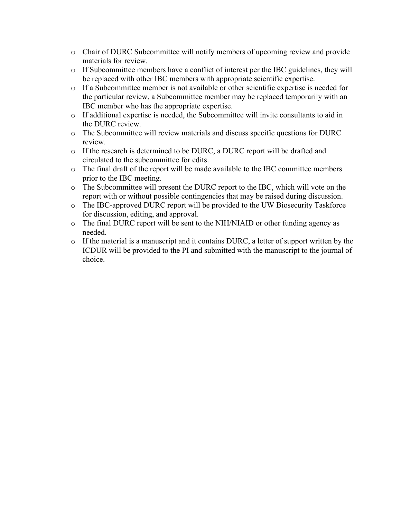- o Chair of DURC Subcommittee will notify members of upcoming review and provide materials for review.
- o If Subcommittee members have a conflict of interest per the IBC guidelines, they will be replaced with other IBC members with appropriate scientific expertise.
- o If a Subcommittee member is not available or other scientific expertise is needed for the particular review, a Subcommittee member may be replaced temporarily with an IBC member who has the appropriate expertise.
- o If additional expertise is needed, the Subcommittee will invite consultants to aid in the DURC review.
- o The Subcommittee will review materials and discuss specific questions for DURC review.
- o If the research is determined to be DURC, a DURC report will be drafted and circulated to the subcommittee for edits.
- o The final draft of the report will be made available to the IBC committee members prior to the IBC meeting.
- o The Subcommittee will present the DURC report to the IBC, which will vote on the report with or without possible contingencies that may be raised during discussion.
- o The IBC-approved DURC report will be provided to the UW Biosecurity Taskforce for discussion, editing, and approval.
- o The final DURC report will be sent to the NIH/NIAID or other funding agency as needed.
- o If the material is a manuscript and it contains DURC, a letter of support written by the ICDUR will be provided to the PI and submitted with the manuscript to the journal of choice.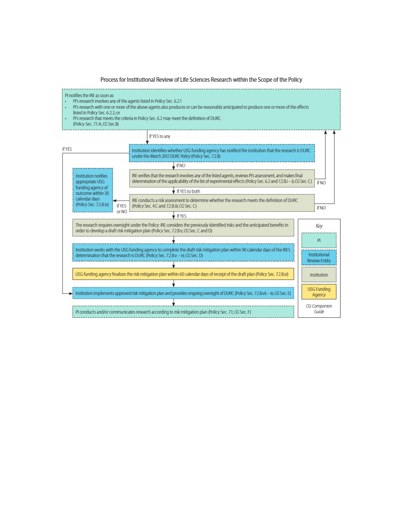Process for Institutional Review of Life Sciences Research within the Scope of the Policy

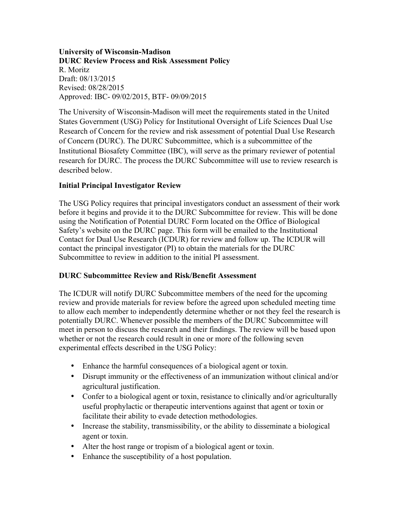## **University of Wisconsin-Madison DURC Review Process and Risk Assessment Policy** R. Moritz Draft: 08/13/2015 Revised: 08/28/2015 Approved: IBC- 09/02/2015, BTF- 09/09/2015

The University of Wisconsin-Madison will meet the requirements stated in the United States Government (USG) Policy for Institutional Oversight of Life Sciences Dual Use Research of Concern for the review and risk assessment of potential Dual Use Research of Concern (DURC). The DURC Subcommittee, which is a subcommittee of the Institutional Biosafety Committee (IBC), will serve as the primary reviewer of potential research for DURC. The process the DURC Subcommittee will use to review research is described below.

# **Initial Principal Investigator Review**

The USG Policy requires that principal investigators conduct an assessment of their work before it begins and provide it to the DURC Subcommittee for review. This will be done using the Notification of Potential DURC Form located on the Office of Biological Safety's website on the DURC page. This form will be emailed to the Institutional Contact for Dual Use Research (ICDUR) for review and follow up. The ICDUR will contact the principal investigator (PI) to obtain the materials for the DURC Subcommittee to review in addition to the initial PI assessment.

# **DURC Subcommittee Review and Risk/Benefit Assessment**

The ICDUR will notify DURC Subcommittee members of the need for the upcoming review and provide materials for review before the agreed upon scheduled meeting time to allow each member to independently determine whether or not they feel the research is potentially DURC. Whenever possible the members of the DURC Subcommittee will meet in person to discuss the research and their findings. The review will be based upon whether or not the research could result in one or more of the following seven experimental effects described in the USG Policy:

- Enhance the harmful consequences of a biological agent or toxin.
- Disrupt immunity or the effectiveness of an immunization without clinical and/or agricultural justification.
- Confer to a biological agent or toxin, resistance to clinically and/or agriculturally useful prophylactic or therapeutic interventions against that agent or toxin or facilitate their ability to evade detection methodologies.
- Increase the stability, transmissibility, or the ability to disseminate a biological agent or toxin.
- Alter the host range or tropism of a biological agent or toxin.
- Enhance the susceptibility of a host population.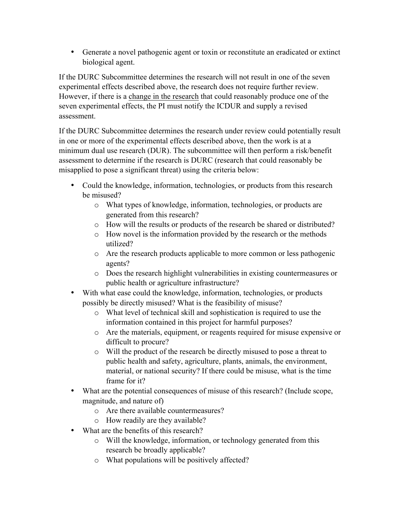• Generate a novel pathogenic agent or toxin or reconstitute an eradicated or extinct biological agent.

If the DURC Subcommittee determines the research will not result in one of the seven experimental effects described above, the research does not require further review. However, if there is a change in the research that could reasonably produce one of the seven experimental effects, the PI must notify the ICDUR and supply a revised assessment.

If the DURC Subcommittee determines the research under review could potentially result in one or more of the experimental effects described above, then the work is at a minimum dual use research (DUR). The subcommittee will then perform a risk/benefit assessment to determine if the research is DURC (research that could reasonably be misapplied to pose a significant threat) using the criteria below:

- Could the knowledge, information, technologies, or products from this research be misused?
	- o What types of knowledge, information, technologies, or products are generated from this research?
	- o How will the results or products of the research be shared or distributed?
	- o How novel is the information provided by the research or the methods utilized?
	- o Are the research products applicable to more common or less pathogenic agents?
	- o Does the research highlight vulnerabilities in existing countermeasures or public health or agriculture infrastructure?
- With what ease could the knowledge, information, technologies, or products possibly be directly misused? What is the feasibility of misuse?
	- o What level of technical skill and sophistication is required to use the information contained in this project for harmful purposes?
	- o Are the materials, equipment, or reagents required for misuse expensive or difficult to procure?
	- o Will the product of the research be directly misused to pose a threat to public health and safety, agriculture, plants, animals, the environment, material, or national security? If there could be misuse, what is the time frame for it?
- What are the potential consequences of misuse of this research? (Include scope, magnitude, and nature of)
	- o Are there available countermeasures?
	- o How readily are they available?
- What are the benefits of this research?
	- o Will the knowledge, information, or technology generated from this research be broadly applicable?
	- o What populations will be positively affected?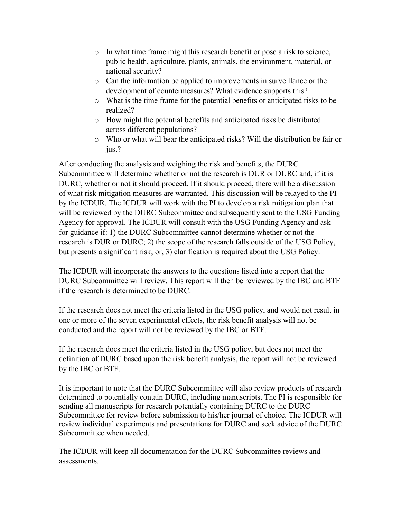- o In what time frame might this research benefit or pose a risk to science, public health, agriculture, plants, animals, the environment, material, or national security?
- o Can the information be applied to improvements in surveillance or the development of countermeasures? What evidence supports this?
- o What is the time frame for the potential benefits or anticipated risks to be realized?
- o How might the potential benefits and anticipated risks be distributed across different populations?
- o Who or what will bear the anticipated risks? Will the distribution be fair or just?

After conducting the analysis and weighing the risk and benefits, the DURC Subcommittee will determine whether or not the research is DUR or DURC and, if it is DURC, whether or not it should proceed. If it should proceed, there will be a discussion of what risk mitigation measures are warranted. This discussion will be relayed to the PI by the ICDUR. The ICDUR will work with the PI to develop a risk mitigation plan that will be reviewed by the DURC Subcommittee and subsequently sent to the USG Funding Agency for approval. The ICDUR will consult with the USG Funding Agency and ask for guidance if: 1) the DURC Subcommittee cannot determine whether or not the research is DUR or DURC; 2) the scope of the research falls outside of the USG Policy, but presents a significant risk; or, 3) clarification is required about the USG Policy.

The ICDUR will incorporate the answers to the questions listed into a report that the DURC Subcommittee will review. This report will then be reviewed by the IBC and BTF if the research is determined to be DURC.

If the research does not meet the criteria listed in the USG policy, and would not result in one or more of the seven experimental effects, the risk benefit analysis will not be conducted and the report will not be reviewed by the IBC or BTF.

If the research does meet the criteria listed in the USG policy, but does not meet the definition of DURC based upon the risk benefit analysis, the report will not be reviewed by the IBC or BTF.

It is important to note that the DURC Subcommittee will also review products of research determined to potentially contain DURC, including manuscripts. The PI is responsible for sending all manuscripts for research potentially containing DURC to the DURC Subcommittee for review before submission to his/her journal of choice. The ICDUR will review individual experiments and presentations for DURC and seek advice of the DURC Subcommittee when needed.

The ICDUR will keep all documentation for the DURC Subcommittee reviews and assessments.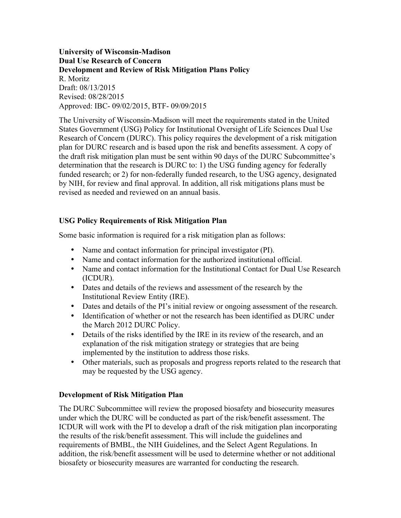**University of Wisconsin-Madison Dual Use Research of Concern Development and Review of Risk Mitigation Plans Policy** R. Moritz Draft: 08/13/2015 Revised: 08/28/2015 Approved: IBC- 09/02/2015, BTF- 09/09/2015

The University of Wisconsin-Madison will meet the requirements stated in the United States Government (USG) Policy for Institutional Oversight of Life Sciences Dual Use Research of Concern (DURC). This policy requires the development of a risk mitigation plan for DURC research and is based upon the risk and benefits assessment. A copy of the draft risk mitigation plan must be sent within 90 days of the DURC Subcommittee's determination that the research is DURC to: 1) the USG funding agency for federally funded research; or 2) for non-federally funded research, to the USG agency, designated by NIH, for review and final approval. In addition, all risk mitigations plans must be revised as needed and reviewed on an annual basis.

# **USG Policy Requirements of Risk Mitigation Plan**

Some basic information is required for a risk mitigation plan as follows:

- Name and contact information for principal investigator (PI).
- Name and contact information for the authorized institutional official.
- Name and contact information for the Institutional Contact for Dual Use Research (ICDUR).
- Dates and details of the reviews and assessment of the research by the Institutional Review Entity (IRE).
- Dates and details of the PI's initial review or ongoing assessment of the research.
- Identification of whether or not the research has been identified as DURC under the March 2012 DURC Policy.
- Details of the risks identified by the IRE in its review of the research, and an explanation of the risk mitigation strategy or strategies that are being implemented by the institution to address those risks.
- Other materials, such as proposals and progress reports related to the research that may be requested by the USG agency.

## **Development of Risk Mitigation Plan**

The DURC Subcommittee will review the proposed biosafety and biosecurity measures under which the DURC will be conducted as part of the risk/benefit assessment. The ICDUR will work with the PI to develop a draft of the risk mitigation plan incorporating the results of the risk/benefit assessment. This will include the guidelines and requirements of BMBL, the NIH Guidelines, and the Select Agent Regulations. In addition, the risk/benefit assessment will be used to determine whether or not additional biosafety or biosecurity measures are warranted for conducting the research.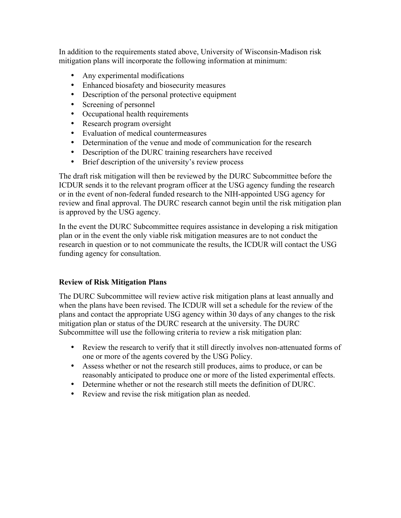In addition to the requirements stated above, University of Wisconsin-Madison risk mitigation plans will incorporate the following information at minimum:

- Any experimental modifications
- Enhanced biosafety and biosecurity measures
- Description of the personal protective equipment
- Screening of personnel
- Occupational health requirements
- Research program oversight
- Evaluation of medical countermeasures
- Determination of the venue and mode of communication for the research
- Description of the DURC training researchers have received
- Brief description of the university's review process

The draft risk mitigation will then be reviewed by the DURC Subcommittee before the ICDUR sends it to the relevant program officer at the USG agency funding the research or in the event of non-federal funded research to the NIH-appointed USG agency for review and final approval. The DURC research cannot begin until the risk mitigation plan is approved by the USG agency.

In the event the DURC Subcommittee requires assistance in developing a risk mitigation plan or in the event the only viable risk mitigation measures are to not conduct the research in question or to not communicate the results, the ICDUR will contact the USG funding agency for consultation.

# **Review of Risk Mitigation Plans**

The DURC Subcommittee will review active risk mitigation plans at least annually and when the plans have been revised. The ICDUR will set a schedule for the review of the plans and contact the appropriate USG agency within 30 days of any changes to the risk mitigation plan or status of the DURC research at the university. The DURC Subcommittee will use the following criteria to review a risk mitigation plan:

- Review the research to verify that it still directly involves non-attenuated forms of one or more of the agents covered by the USG Policy.
- Assess whether or not the research still produces, aims to produce, or can be reasonably anticipated to produce one or more of the listed experimental effects.
- Determine whether or not the research still meets the definition of DURC.
- Review and revise the risk mitigation plan as needed.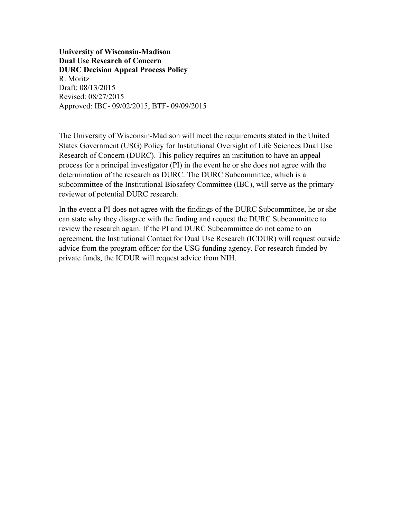**University of Wisconsin-Madison Dual Use Research of Concern DURC Decision Appeal Process Policy** R. Moritz Draft: 08/13/2015 Revised: 08/27/2015 Approved: IBC- 09/02/2015, BTF- 09/09/2015

The University of Wisconsin-Madison will meet the requirements stated in the United States Government (USG) Policy for Institutional Oversight of Life Sciences Dual Use Research of Concern (DURC). This policy requires an institution to have an appeal process for a principal investigator (PI) in the event he or she does not agree with the determination of the research as DURC. The DURC Subcommittee, which is a subcommittee of the Institutional Biosafety Committee (IBC), will serve as the primary reviewer of potential DURC research.

In the event a PI does not agree with the findings of the DURC Subcommittee, he or she can state why they disagree with the finding and request the DURC Subcommittee to review the research again. If the PI and DURC Subcommittee do not come to an agreement, the Institutional Contact for Dual Use Research (ICDUR) will request outside advice from the program officer for the USG funding agency. For research funded by private funds, the ICDUR will request advice from NIH.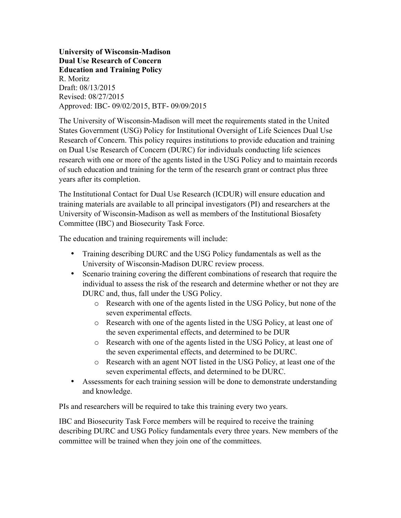**University of Wisconsin-Madison Dual Use Research of Concern Education and Training Policy** R. Moritz Draft: 08/13/2015 Revised: 08/27/2015 Approved: IBC- 09/02/2015, BTF- 09/09/2015

The University of Wisconsin-Madison will meet the requirements stated in the United States Government (USG) Policy for Institutional Oversight of Life Sciences Dual Use Research of Concern. This policy requires institutions to provide education and training on Dual Use Research of Concern (DURC) for individuals conducting life sciences research with one or more of the agents listed in the USG Policy and to maintain records of such education and training for the term of the research grant or contract plus three years after its completion.

The Institutional Contact for Dual Use Research (ICDUR) will ensure education and training materials are available to all principal investigators (PI) and researchers at the University of Wisconsin-Madison as well as members of the Institutional Biosafety Committee (IBC) and Biosecurity Task Force.

The education and training requirements will include:

- Training describing DURC and the USG Policy fundamentals as well as the University of Wisconsin-Madison DURC review process.
- Scenario training covering the different combinations of research that require the individual to assess the risk of the research and determine whether or not they are DURC and, thus, fall under the USG Policy.
	- o Research with one of the agents listed in the USG Policy, but none of the seven experimental effects.
	- o Research with one of the agents listed in the USG Policy, at least one of the seven experimental effects, and determined to be DUR
	- o Research with one of the agents listed in the USG Policy, at least one of the seven experimental effects, and determined to be DURC.
	- o Research with an agent NOT listed in the USG Policy, at least one of the seven experimental effects, and determined to be DURC.
- Assessments for each training session will be done to demonstrate understanding and knowledge.

PIs and researchers will be required to take this training every two years.

IBC and Biosecurity Task Force members will be required to receive the training describing DURC and USG Policy fundamentals every three years. New members of the committee will be trained when they join one of the committees.